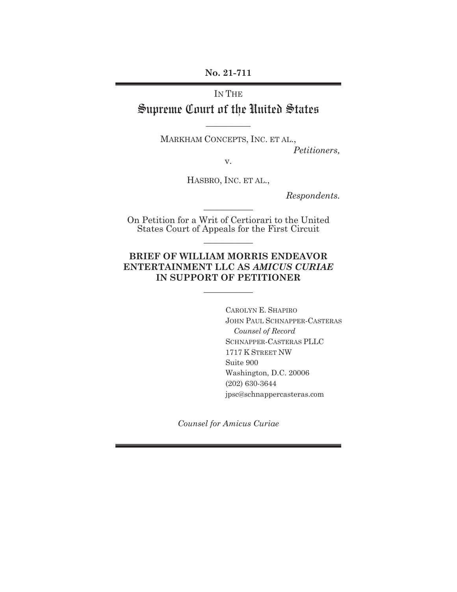**No. 21-711** 

IN THE

# Supreme Court of the United States **\_\_\_\_\_\_\_\_\_\_**

MARKHAM CONCEPTS, INC. ET AL.,

*Petitioners,* 

v.

HASBRO, INC. ET AL.,

*Respondents.* 

On Petition for a Writ of Certiorari to the United States Court of Appeals for the First Circuit

**\_\_\_\_\_\_\_\_\_\_\_** 

**\_\_\_\_\_\_\_\_\_\_\_** 

## **BRIEF OF WILLIAM MORRIS ENDEAVOR ENTERTAINMENT LLC AS** *AMICUS CURIAE*  **IN SUPPORT OF PETITIONER**

**\_\_\_\_\_\_\_\_\_\_\_** 

CAROLYN E. SHAPIRO JOHN PAUL SCHNAPPER-CASTERAS  *Counsel of Record* SCHNAPPER-CASTERAS PLLC 1717 K STREET NW Suite 900 Washington, D.C. 20006 (202) 630-3644 jpsc@schnappercasteras.com

*Counsel for Amicus Curiae*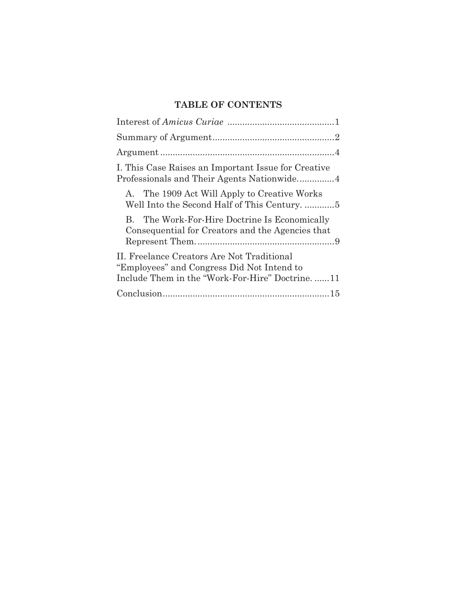# **TABLE OF CONTENTS**

| I. This Case Raises an Important Issue for Creative                                                                                        |
|--------------------------------------------------------------------------------------------------------------------------------------------|
| A. The 1909 Act Will Apply to Creative Works<br>Well Into the Second Half of This Century5                                                 |
| The Work-For-Hire Doctrine Is Economically<br>Consequential for Creators and the Agencies that                                             |
| II. Freelance Creators Are Not Traditional<br>"Employees" and Congress Did Not Intend to<br>Include Them in the "Work-For-Hire" Doctrine11 |
|                                                                                                                                            |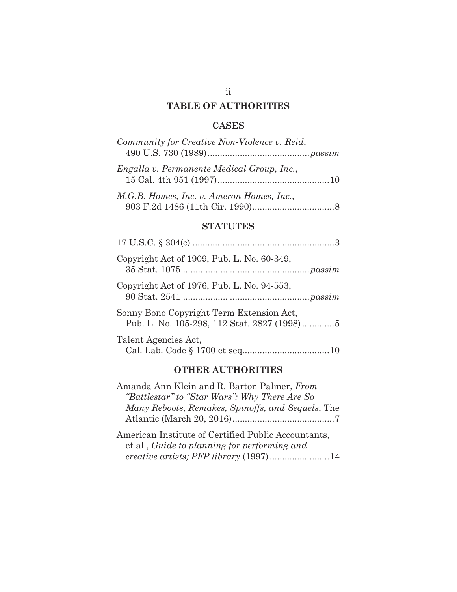## **TABLE OF AUTHORITIES**

## **CASES**

| Community for Creative Non-Violence v. Reid, |
|----------------------------------------------|
| Engalla v. Permanente Medical Group, Inc.,   |
| M.G.B. Homes, Inc. v. Ameron Homes, Inc.,    |

# 903 F.2d 1486 (11th Cir. 1990) ................................. 8

## **STATUTES**

| Copyright Act of 1909, Pub. L. No. 60-349,                                              |
|-----------------------------------------------------------------------------------------|
| Copyright Act of 1976, Pub. L. No. 94-553,                                              |
| Sonny Bono Copyright Term Extension Act,<br>Pub. L. No. 105-298, 112 Stat. 2827 (1998)5 |
| Talent Agencies Act,                                                                    |

## **OTHER AUTHORITIES**

| Amanda Ann Klein and R. Barton Palmer, From           |
|-------------------------------------------------------|
| "Battlestar" to "Star Wars": Why There Are So         |
| Many Reboots, Remakes, Spinoffs, and Sequels, The     |
|                                                       |
| $\lambda$ if $\lambda$ and $\lambda$ in the $\lambda$ |

American Institute of Certified Public Accountants, et al., *Guide to planning for performing and creative artists; PFP library* (1997) ........................ 14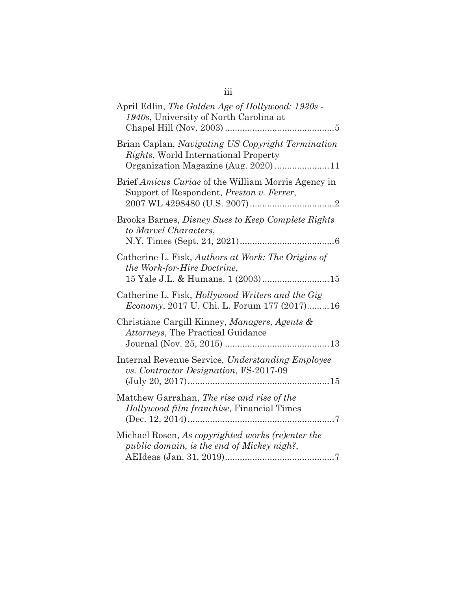| April Edlin, The Golden Age of Hollywood: 1930s -<br>1940s, University of North Carolina at                                               |
|-------------------------------------------------------------------------------------------------------------------------------------------|
| Brian Caplan, Navigating US Copyright Termination<br><i>Rights</i> , World International Property<br>Organization Magazine (Aug. 2020) 11 |
| Brief Amicus Curiae of the William Morris Agency in<br>Support of Respondent, Preston v. Ferrer,                                          |
| Brooks Barnes, Disney Sues to Keep Complete Rights<br>to Marvel Characters,                                                               |
| Catherine L. Fisk, Authors at Work: The Origins of<br>the Work-for-Hire Doctrine,<br>15 Yale J.L. & Humans. 1 (2003)15                    |
| Catherine L. Fisk, Hollywood Writers and the Gig<br>Economy, 2017 U. Chi. L. Forum 177 (2017)16                                           |
| Christiane Cargill Kinney, Managers, Agents &<br><i>Attorneys</i> , The Practical Guidance                                                |
| Internal Revenue Service, Understanding Employee<br>vs. Contractor Designation, FS-2017-09                                                |
| Matthew Garrahan, The rise and rise of the<br>Hollywood film franchise, Financial Times                                                   |
| Michael Rosen, As copyrighted works (re)enter the<br>public domain, is the end of Mickey nigh?,                                           |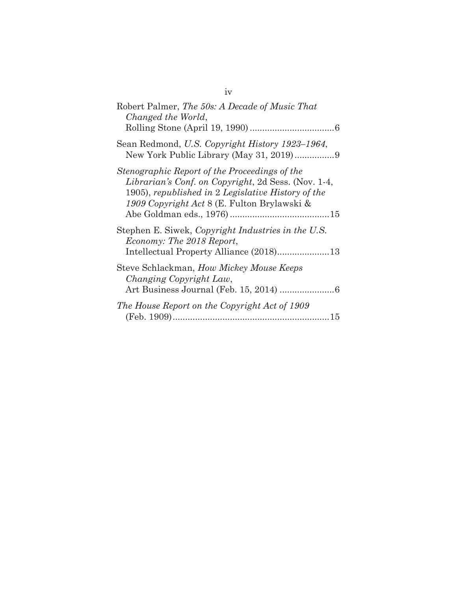| Robert Palmer, The 50s: A Decade of Music That<br>Changed the World,                                                                                                                                      |
|-----------------------------------------------------------------------------------------------------------------------------------------------------------------------------------------------------------|
| Sean Redmond, U.S. Copyright History 1923–1964,                                                                                                                                                           |
| Stenographic Report of the Proceedings of the<br>Librarian's Conf. on Copyright, 2d Sess. (Nov. 1-4,<br>1905), republished in 2 Legislative History of the<br>1909 Copyright Act 8 (E. Fulton Brylawski & |
| Stephen E. Siwek, Copyright Industries in the U.S.<br>Economy: The 2018 Report,<br>Intellectual Property Alliance (2018)13                                                                                |
| Steve Schlackman, How Mickey Mouse Keeps<br>Changing Copyright Law,                                                                                                                                       |
| The House Report on the Copyright Act of 1909                                                                                                                                                             |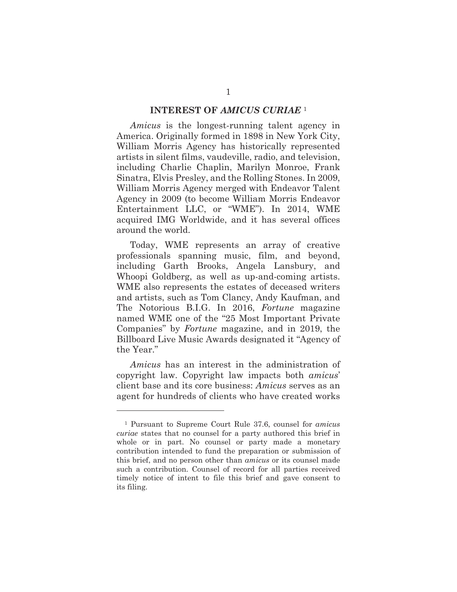#### **INTEREST OF** *AMICUS CURIAE* <sup>1</sup>

*Amicus* is the longest-running talent agency in America. Originally formed in 1898 in New York City, William Morris Agency has historically represented artists in silent films, vaudeville, radio, and television, including Charlie Chaplin, Marilyn Monroe, Frank Sinatra, Elvis Presley, and the Rolling Stones. In 2009, William Morris Agency merged with Endeavor Talent Agency in 2009 (to become William Morris Endeavor Entertainment LLC, or "WME"). In 2014, WME acquired IMG Worldwide, and it has several offices around the world.

Today, WME represents an array of creative professionals spanning music, film, and beyond, including Garth Brooks, Angela Lansbury, and Whoopi Goldberg, as well as up-and-coming artists. WME also represents the estates of deceased writers and artists, such as Tom Clancy, Andy Kaufman, and The Notorious B.I.G. In 2016, *Fortune* magazine named WME one of the "25 Most Important Private Companies" by *Fortune* magazine, and in 2019, the Billboard Live Music Awards designated it "Agency of the Year."

*Amicus* has an interest in the administration of copyright law. Copyright law impacts both *amicus*' client base and its core business: *Amicus* serves as an agent for hundreds of clients who have created works

<sup>1</sup> Pursuant to Supreme Court Rule 37.6, counsel for *amicus curiae* states that no counsel for a party authored this brief in whole or in part. No counsel or party made a monetary contribution intended to fund the preparation or submission of this brief, and no person other than *amicus* or its counsel made such a contribution. Counsel of record for all parties received timely notice of intent to file this brief and gave consent to its filing.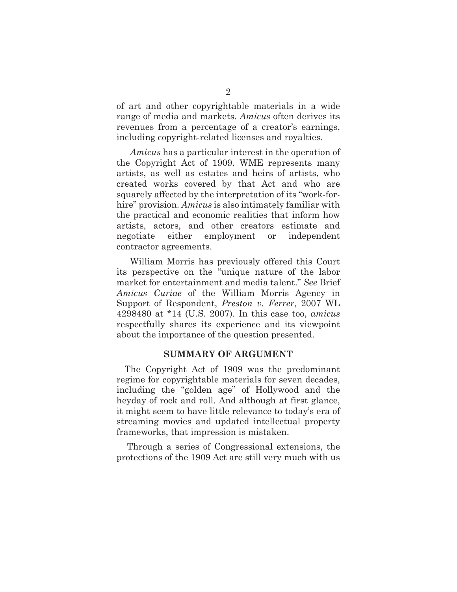of art and other copyrightable materials in a wide range of media and markets. *Amicus* often derives its revenues from a percentage of a creator's earnings, including copyright-related licenses and royalties.

*Amicus* has a particular interest in the operation of the Copyright Act of 1909. WME represents many artists, as well as estates and heirs of artists, who created works covered by that Act and who are squarely affected by the interpretation of its "work-forhire" provision. *Amicus* is also intimately familiar with the practical and economic realities that inform how artists, actors, and other creators estimate and negotiate either employment or independent contractor agreements.

William Morris has previously offered this Court its perspective on the "unique nature of the labor market for entertainment and media talent." *See* Brief *Amicus Curiae* of the William Morris Agency in Support of Respondent, *Preston v. Ferrer*, 2007 WL 4298480 at \*14 (U.S. 2007). In this case too, *amicus*  respectfully shares its experience and its viewpoint about the importance of the question presented.

### **SUMMARY OF ARGUMENT**

The Copyright Act of 1909 was the predominant regime for copyrightable materials for seven decades, including the "golden age" of Hollywood and the heyday of rock and roll. And although at first glance, it might seem to have little relevance to today's era of streaming movies and updated intellectual property frameworks, that impression is mistaken.

 Through a series of Congressional extensions, the protections of the 1909 Act are still very much with us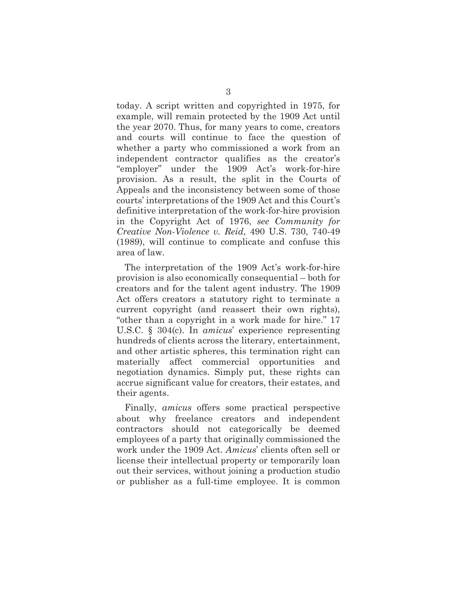today. A script written and copyrighted in 1975, for example, will remain protected by the 1909 Act until the year 2070. Thus, for many years to come, creators and courts will continue to face the question of whether a party who commissioned a work from an independent contractor qualifies as the creator's "employer" under the 1909 Act's work-for-hire provision. As a result, the split in the Courts of Appeals and the inconsistency between some of those courts' interpretations of the 1909 Act and this Court's definitive interpretation of the work-for-hire provision in the Copyright Act of 1976, *see Community for Creative Non-Violence v. Reid*, 490 U.S. 730, 740-49 (1989), will continue to complicate and confuse this area of law.

The interpretation of the 1909 Act's work-for-hire provision is also economically consequential – both for creators and for the talent agent industry. The 1909 Act offers creators a statutory right to terminate a current copyright (and reassert their own rights), "other than a copyright in a work made for hire." 17 U.S.C. § 304(c). In *amicus*' experience representing hundreds of clients across the literary, entertainment, and other artistic spheres, this termination right can materially affect commercial opportunities and negotiation dynamics. Simply put, these rights can accrue significant value for creators, their estates, and their agents.

Finally, *amicus* offers some practical perspective about why freelance creators and independent contractors should not categorically be deemed employees of a party that originally commissioned the work under the 1909 Act. *Amicus*' clients often sell or license their intellectual property or temporarily loan out their services, without joining a production studio or publisher as a full-time employee. It is common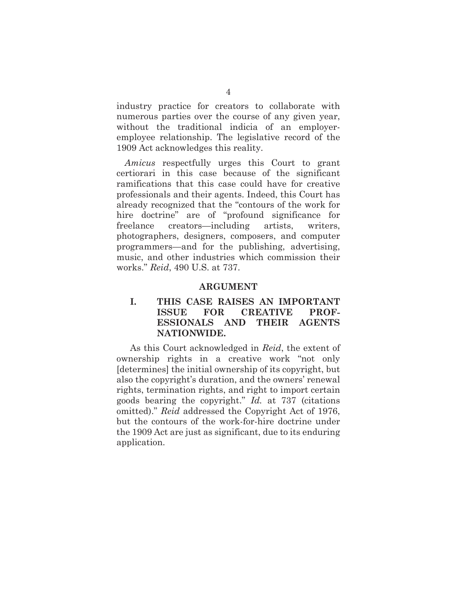industry practice for creators to collaborate with numerous parties over the course of any given year, without the traditional indicia of an employeremployee relationship. The legislative record of the 1909 Act acknowledges this reality.

*Amicus* respectfully urges this Court to grant certiorari in this case because of the significant ramifications that this case could have for creative professionals and their agents. Indeed, this Court has already recognized that the "contours of the work for hire doctrine" are of "profound significance for freelance creators—including artists, writers, photographers, designers, composers, and computer programmers—and for the publishing, advertising, music, and other industries which commission their works." *Reid*, 490 U.S. at 737.

#### **ARGUMENT**

## **I. THIS CASE RAISES AN IMPORTANT ISSUE FOR CREATIVE PROF-ESSIONALS AND THEIR AGENTS NATIONWIDE.**

As this Court acknowledged in *Reid*, the extent of ownership rights in a creative work "not only [determines] the initial ownership of its copyright, but also the copyright's duration, and the owners' renewal rights, termination rights, and right to import certain goods bearing the copyright." *Id.* at 737 (citations omitted)." *Reid* addressed the Copyright Act of 1976, but the contours of the work-for-hire doctrine under the 1909 Act are just as significant, due to its enduring application.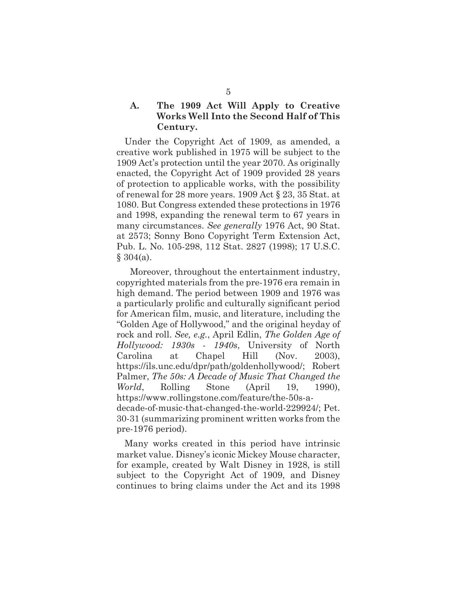## **A. The 1909 Act Will Apply to Creative Works Well Into the Second Half of This Century.**

Under the Copyright Act of 1909, as amended, a creative work published in 1975 will be subject to the 1909 Act's protection until the year 2070. As originally enacted, the Copyright Act of 1909 provided 28 years of protection to applicable works, with the possibility of renewal for 28 more years. 1909 Act § 23, 35 Stat. at 1080. But Congress extended these protections in 1976 and 1998, expanding the renewal term to 67 years in many circumstances. *See generally* 1976 Act, 90 Stat. at 2573; Sonny Bono Copyright Term Extension Act, Pub. L. No. 105-298, 112 Stat. 2827 (1998); 17 U.S.C.  $§ 304(a).$ 

Moreover, throughout the entertainment industry, copyrighted materials from the pre-1976 era remain in high demand. The period between 1909 and 1976 was a particularly prolific and culturally significant period for American film, music, and literature, including the "Golden Age of Hollywood," and the original heyday of rock and roll. *See, e.g.*, April Edlin, *The Golden Age of Hollywood: 1930s - 1940s*, University of North Carolina at Chapel Hill (Nov. 2003), https://ils.unc.edu/dpr/path/goldenhollywood/; Robert Palmer, *The 50s: A Decade of Music That Changed the World*, Rolling Stone (April 19, 1990), https://www.rollingstone.com/feature/the-50s-adecade-of-music-that-changed-the-world-229924/; Pet. 30-31 (summarizing prominent written works from the pre-1976 period).

Many works created in this period have intrinsic market value. Disney's iconic Mickey Mouse character, for example, created by Walt Disney in 1928, is still subject to the Copyright Act of 1909, and Disney continues to bring claims under the Act and its 1998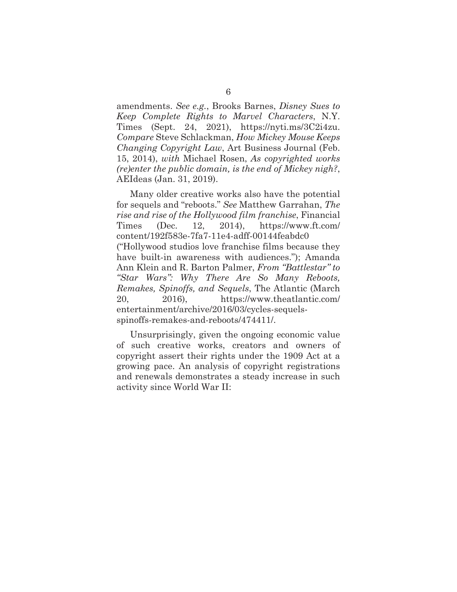amendments. *See e.g.*, Brooks Barnes, *Disney Sues to Keep Complete Rights to Marvel Characters*, N.Y. Times (Sept. 24, 2021), https://nyti.ms/3C2i4zu. *Compare* Steve Schlackman, *How Mickey Mouse Keeps Changing Copyright Law*, Art Business Journal (Feb. 15, 2014), *with* Michael Rosen, *As copyrighted works (re)enter the public domain, is the end of Mickey nigh?*, AEIdeas (Jan. 31, 2019).

Many older creative works also have the potential for sequels and "reboots." *See* Matthew Garrahan, *The rise and rise of the Hollywood film franchise*, Financial Times (Dec. 12, 2014), https://www.ft.com/ content/192f583e-7fa7-11e4-adff-00144feabdc0 ("Hollywood studios love franchise films because they have built-in awareness with audiences."); Amanda Ann Klein and R. Barton Palmer, *From "Battlestar" to "Star Wars": Why There Are So Many Reboots, Remakes, Spinoffs, and Sequels*, The Atlantic (March 20, 2016), https://www.theatlantic.com/ entertainment/archive/2016/03/cycles-sequelsspinoffs-remakes-and-reboots/474411/.

Unsurprisingly, given the ongoing economic value of such creative works, creators and owners of copyright assert their rights under the 1909 Act at a growing pace. An analysis of copyright registrations and renewals demonstrates a steady increase in such activity since World War II: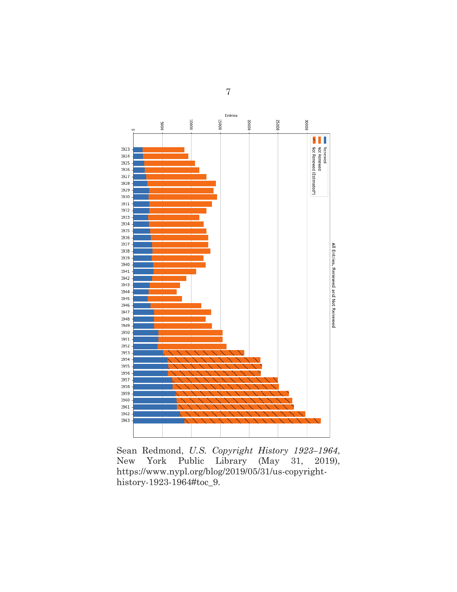

Sean Redmond, *U.S. Copyright History 1923–1964*, New York Public Library (May 31, 2019), https://www.nypl.org/blog/2019/05/31/us-copyrighthistory-1923-1964#toc\_9.

7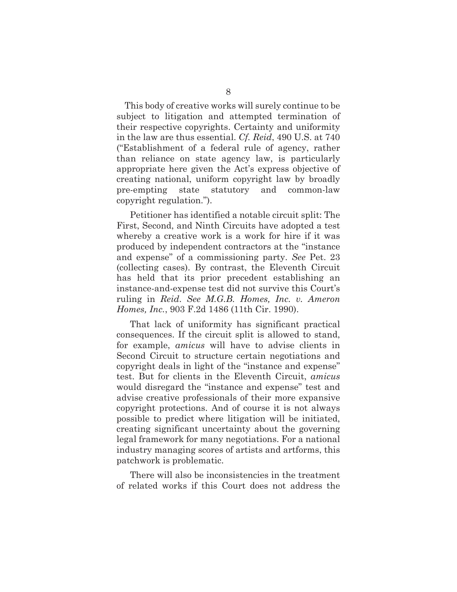This body of creative works will surely continue to be subject to litigation and attempted termination of their respective copyrights. Certainty and uniformity in the law are thus essential. *Cf. Reid*, 490 U.S. at 740 ("Establishment of a federal rule of agency, rather than reliance on state agency law, is particularly appropriate here given the Act's express objective of creating national, uniform copyright law by broadly pre-empting state statutory and common-law copyright regulation.").

Petitioner has identified a notable circuit split: The First, Second, and Ninth Circuits have adopted a test whereby a creative work is a work for hire if it was produced by independent contractors at the "instance and expense" of a commissioning party. *See* Pet. 23 (collecting cases). By contrast, the Eleventh Circuit has held that its prior precedent establishing an instance-and-expense test did not survive this Court's ruling in *Reid*. *See M.G.B. Homes, Inc. v. Ameron Homes, Inc.*, 903 F.2d 1486 (11th Cir. 1990).

That lack of uniformity has significant practical consequences. If the circuit split is allowed to stand, for example, *amicus* will have to advise clients in Second Circuit to structure certain negotiations and copyright deals in light of the "instance and expense" test. But for clients in the Eleventh Circuit, *amicus*  would disregard the "instance and expense" test and advise creative professionals of their more expansive copyright protections. And of course it is not always possible to predict where litigation will be initiated, creating significant uncertainty about the governing legal framework for many negotiations. For a national industry managing scores of artists and artforms, this patchwork is problematic.

There will also be inconsistencies in the treatment of related works if this Court does not address the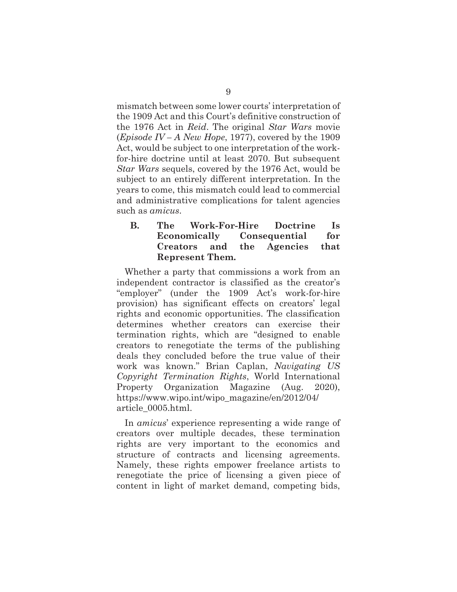mismatch between some lower courts' interpretation of the 1909 Act and this Court's definitive construction of the 1976 Act in *Reid*. The original *Star Wars* movie (*Episode IV – A New Hope*, 1977), covered by the 1909 Act, would be subject to one interpretation of the workfor-hire doctrine until at least 2070. But subsequent *Star Wars* sequels, covered by the 1976 Act, would be subject to an entirely different interpretation. In the years to come, this mismatch could lead to commercial and administrative complications for talent agencies such as *amicus*.

## **B. The Work-For-Hire Doctrine Is Economically Consequential for Creators and the Agencies that Represent Them.**

Whether a party that commissions a work from an independent contractor is classified as the creator's "employer" (under the 1909 Act's work-for-hire provision) has significant effects on creators' legal rights and economic opportunities. The classification determines whether creators can exercise their termination rights, which are "designed to enable creators to renegotiate the terms of the publishing deals they concluded before the true value of their work was known." Brian Caplan, *Navigating US Copyright Termination Rights*, World International Property Organization Magazine (Aug. 2020), https://www.wipo.int/wipo\_magazine/en/2012/04/ article\_0005.html.

In *amicus*' experience representing a wide range of creators over multiple decades, these termination rights are very important to the economics and structure of contracts and licensing agreements. Namely, these rights empower freelance artists to renegotiate the price of licensing a given piece of content in light of market demand, competing bids,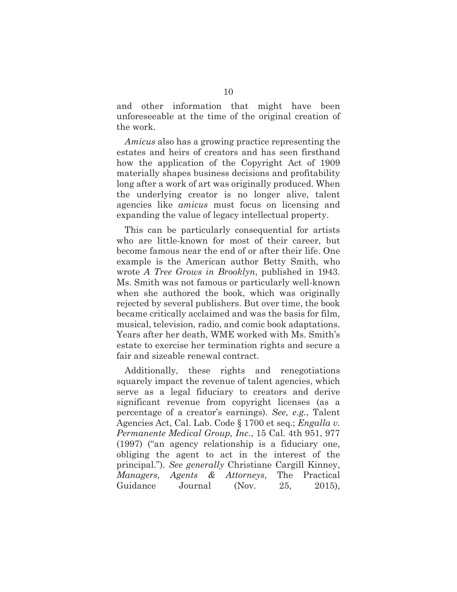and other information that might have been unforeseeable at the time of the original creation of the work.

*Amicus* also has a growing practice representing the estates and heirs of creators and has seen firsthand how the application of the Copyright Act of 1909 materially shapes business decisions and profitability long after a work of art was originally produced. When the underlying creator is no longer alive, talent agencies like *amicus* must focus on licensing and expanding the value of legacy intellectual property.

This can be particularly consequential for artists who are little-known for most of their career, but become famous near the end of or after their life. One example is the American author Betty Smith, who wrote *A Tree Grows in Brooklyn*, published in 1943. Ms. Smith was not famous or particularly well-known when she authored the book, which was originally rejected by several publishers. But over time, the book became critically acclaimed and was the basis for film, musical, television, radio, and comic book adaptations. Years after her death, WME worked with Ms. Smith's estate to exercise her termination rights and secure a fair and sizeable renewal contract.

Additionally, these rights and renegotiations squarely impact the revenue of talent agencies, which serve as a legal fiduciary to creators and derive significant revenue from copyright licenses (as a percentage of a creator's earnings). *See, e.g.*, Talent Agencies Act, Cal. Lab. Code § 1700 et seq.; *Engalla v. Permanente Medical Group, Inc.*, 15 Cal. 4th 951, 977 (1997) ("an agency relationship is a fiduciary one, obliging the agent to act in the interest of the principal."). *See generally* Christiane Cargill Kinney, *Managers, Agents & Attorneys*, The Practical Guidance Journal (Nov. 25, 2015),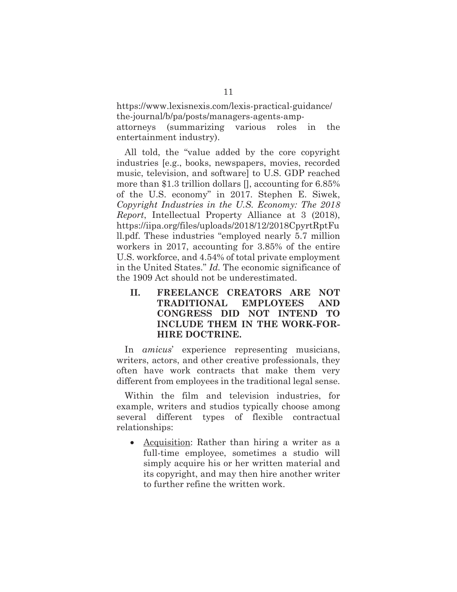https://www.lexisnexis.com/lexis-practical-guidance/ the-journal/b/pa/posts/managers-agents-ampattorneys (summarizing various roles in the entertainment industry).

All told, the "value added by the core copyright industries [e.g., books, newspapers, movies, recorded music, television, and software] to U.S. GDP reached more than \$1.3 trillion dollars [], accounting for 6.85% of the U.S. economy" in 2017. Stephen E. Siwek, *Copyright Industries in the U.S. Economy: The 2018 Report*, Intellectual Property Alliance at 3 (2018), https://iipa.org/files/uploads/2018/12/2018CpyrtRptFu ll.pdf. These industries "employed nearly 5.7 million workers in 2017, accounting for 3.85% of the entire U.S. workforce, and 4.54% of total private employment in the United States." *Id.* The economic significance of the 1909 Act should not be underestimated.

**II. FREELANCE CREATORS ARE NOT TRADITIONAL EMPLOYEES AND CONGRESS DID NOT INTEND TO INCLUDE THEM IN THE WORK-FOR-HIRE DOCTRINE.** 

In *amicus*' experience representing musicians, writers, actors, and other creative professionals, they often have work contracts that make them very different from employees in the traditional legal sense.

Within the film and television industries, for example, writers and studios typically choose among several different types of flexible contractual relationships:

• Acquisition: Rather than hiring a writer as a full-time employee, sometimes a studio will simply acquire his or her written material and its copyright, and may then hire another writer to further refine the written work.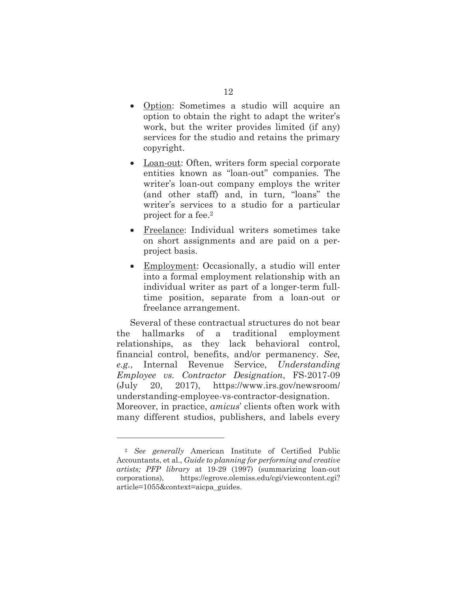- Option: Sometimes a studio will acquire an option to obtain the right to adapt the writer's work, but the writer provides limited (if any) services for the studio and retains the primary copyright.
- Loan-out: Often, writers form special corporate entities known as "loan-out" companies. The writer's loan-out company employs the writer (and other staff) and, in turn, "loans" the writer's services to a studio for a particular project for a fee.<sup>2</sup>
- Freelance: Individual writers sometimes take on short assignments and are paid on a perproject basis.
- Employment: Occasionally, a studio will enter into a formal employment relationship with an individual writer as part of a longer-term fulltime position, separate from a loan-out or freelance arrangement.

Several of these contractual structures do not bear the hallmarks of a traditional employment relationships, as they lack behavioral control, financial control, benefits, and/or permanency. *See, e.g.*, Internal Revenue Service, *Understanding Employee vs. Contractor Designation*, FS-2017-09 (July 20, 2017), https://www.irs.gov/newsroom/ understanding-employee-vs-contractor-designation. Moreover, in practice, *amicus*' clients often work with many different studios, publishers, and labels every

<sup>2</sup> *See generally* American Institute of Certified Public Accountants, et al., *Guide to planning for performing and creative artists; PFP library* at 19-29 (1997) (summarizing loan-out corporations), https://egrove.olemiss.edu/cgi/viewcontent.cgi? article=1055&context=aicpa\_guides.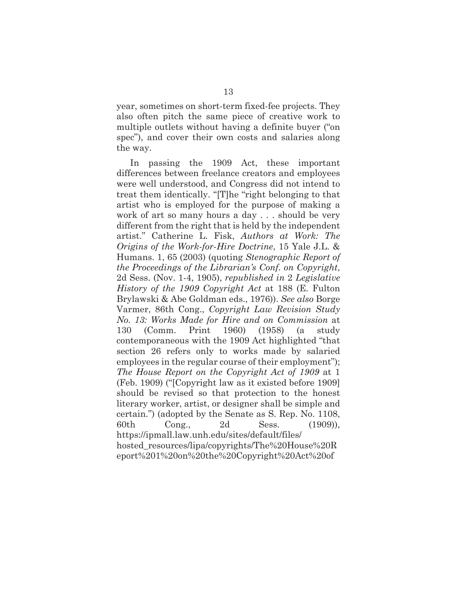year, sometimes on short-term fixed-fee projects. They also often pitch the same piece of creative work to multiple outlets without having a definite buyer ("on spec"), and cover their own costs and salaries along the way.

In passing the 1909 Act, these important differences between freelance creators and employees were well understood, and Congress did not intend to treat them identically. "[T]he "right belonging to that artist who is employed for the purpose of making a work of art so many hours a day . . . should be very different from the right that is held by the independent artist." Catherine L. Fisk, *Authors at Work: The Origins of the Work-for-Hire Doctrine*, 15 Yale J.L. & Humans. 1, 65 (2003) (quoting *Stenographic Report of the Proceedings of the Librarian's Conf. on Copyright*, 2d Sess. (Nov. 1-4, 1905), *republished in* 2 *Legislative History of the 1909 Copyright Act* at 188 (E. Fulton Brylawski & Abe Goldman eds., 1976)). *See also* Borge Varmer, 86th Cong., *Copyright Law Revision Study No. 13: Works Made for Hire and on Commission* at 130 (Comm. Print 1960) (1958) (a study contemporaneous with the 1909 Act highlighted "that section 26 refers only to works made by salaried employees in the regular course of their employment"); *The House Report on the Copyright Act of 1909* at 1 (Feb. 1909) ("[Copyright law as it existed before 1909] should be revised so that protection to the honest literary worker, artist, or designer shall be simple and certain.") (adopted by the Senate as S. Rep. No. 1108, 60th Cong., 2d Sess. (1909)), https://ipmall.law.unh.edu/sites/default/files/ hosted\_resources/lipa/copyrights/The%20House%20R eport%201%20on%20the%20Copyright%20Act%20of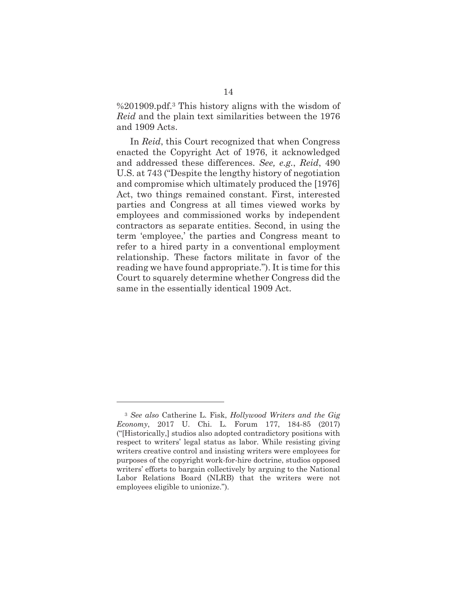%201909.pdf.3 This history aligns with the wisdom of *Reid* and the plain text similarities between the 1976 and 1909 Acts.

In *Reid*, this Court recognized that when Congress enacted the Copyright Act of 1976, it acknowledged and addressed these differences. *See, e.g.*, *Reid*, 490 U.S. at 743 ("Despite the lengthy history of negotiation and compromise which ultimately produced the [1976] Act, two things remained constant. First, interested parties and Congress at all times viewed works by employees and commissioned works by independent contractors as separate entities. Second, in using the term 'employee,' the parties and Congress meant to refer to a hired party in a conventional employment relationship. These factors militate in favor of the reading we have found appropriate."). It is time for this Court to squarely determine whether Congress did the same in the essentially identical 1909 Act.

<sup>3</sup> *See also* Catherine L. Fisk, *Hollywood Writers and the Gig Economy*, 2017 U. Chi. L. Forum 177, 184-85 (2017) ("[Historically,] studios also adopted contradictory positions with respect to writers' legal status as labor. While resisting giving writers creative control and insisting writers were employees for purposes of the copyright work-for-hire doctrine, studios opposed writers' efforts to bargain collectively by arguing to the National Labor Relations Board (NLRB) that the writers were not employees eligible to unionize.").